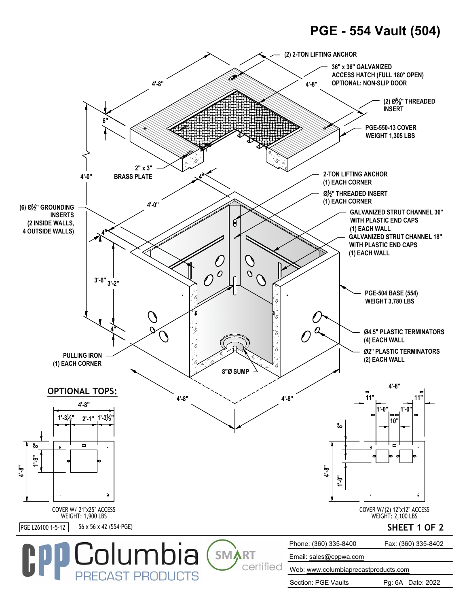## **PGE - 554 Vault (504)**



Section: PGE Vaults Pg: 6A Date: 2022